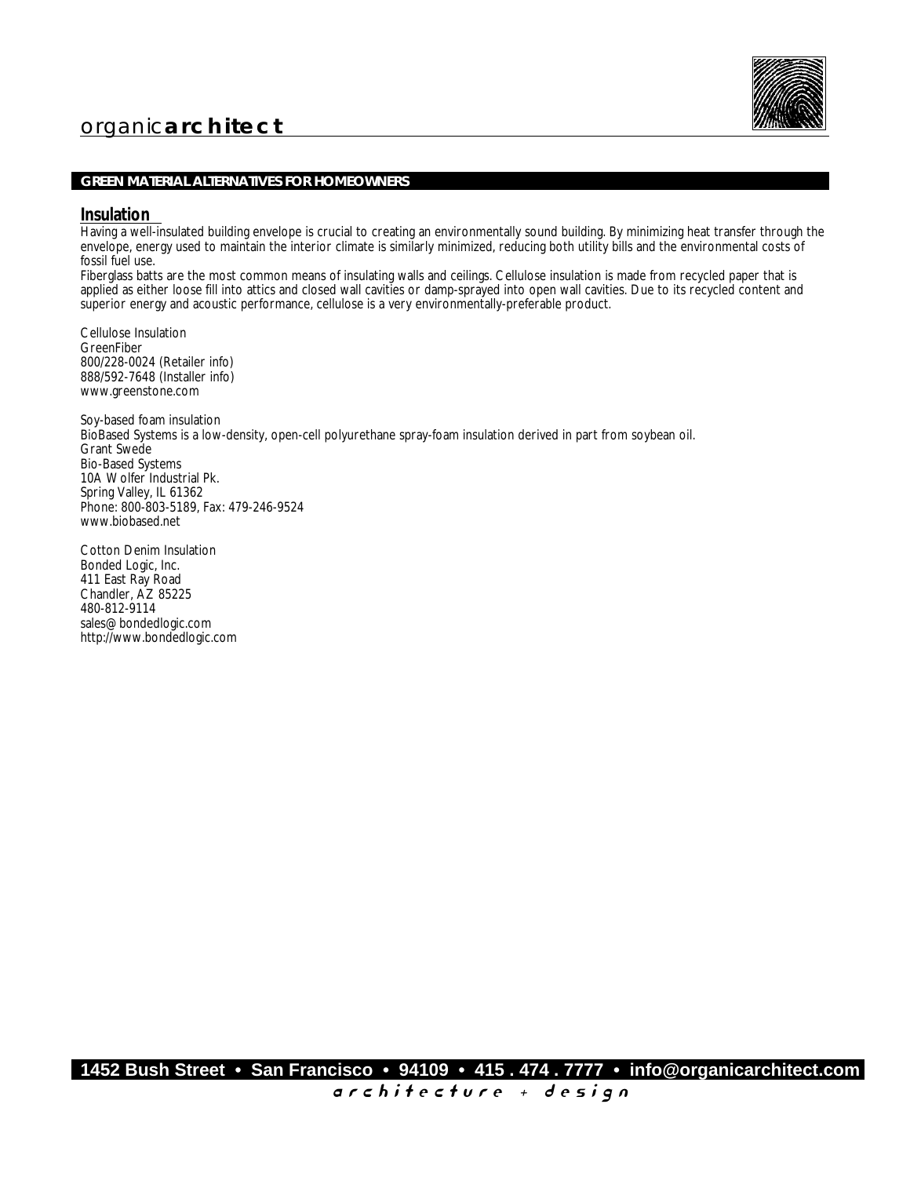

## **GREEN MATERIAL ALTERNATIVES FOR HOMEOWNERS**

### **Insulation**

Having a well-insulated building envelope is crucial to creating an environmentally sound building. By minimizing heat transfer through the envelope, energy used to maintain the interior climate is similarly minimized, reducing both utility bills and the environmental costs of fossil fuel use.

Fiberglass batts are the most common means of insulating walls and ceilings. Cellulose insulation is made from recycled paper that is applied as either loose fill into attics and closed wall cavities or damp-sprayed into open wall cavities. Due to its recycled content and superior energy and acoustic performance, cellulose is a very environmentally-preferable product.

Cellulose Insulation GreenFiber 800/228-0024 (Retailer info) 888/592-7648 (Installer info) www.greenstone.com

Soy-based foam insulation BioBased Systems is a low-density, open-cell polyurethane spray-foam insulation derived in part from soybean oil. Grant Swede Bio-Based Systems 10A Wolfer Industrial Pk. Spring Valley, IL 61362 Phone: 800-803-5189, Fax: 479-246-9524 www.biobased.net

Cotton Denim Insulation Bonded Logic, Inc. 411 East Ray Road Chandler, AZ 85225 480-812-9114 sales@bondedlogic.com http://www.bondedlogic.com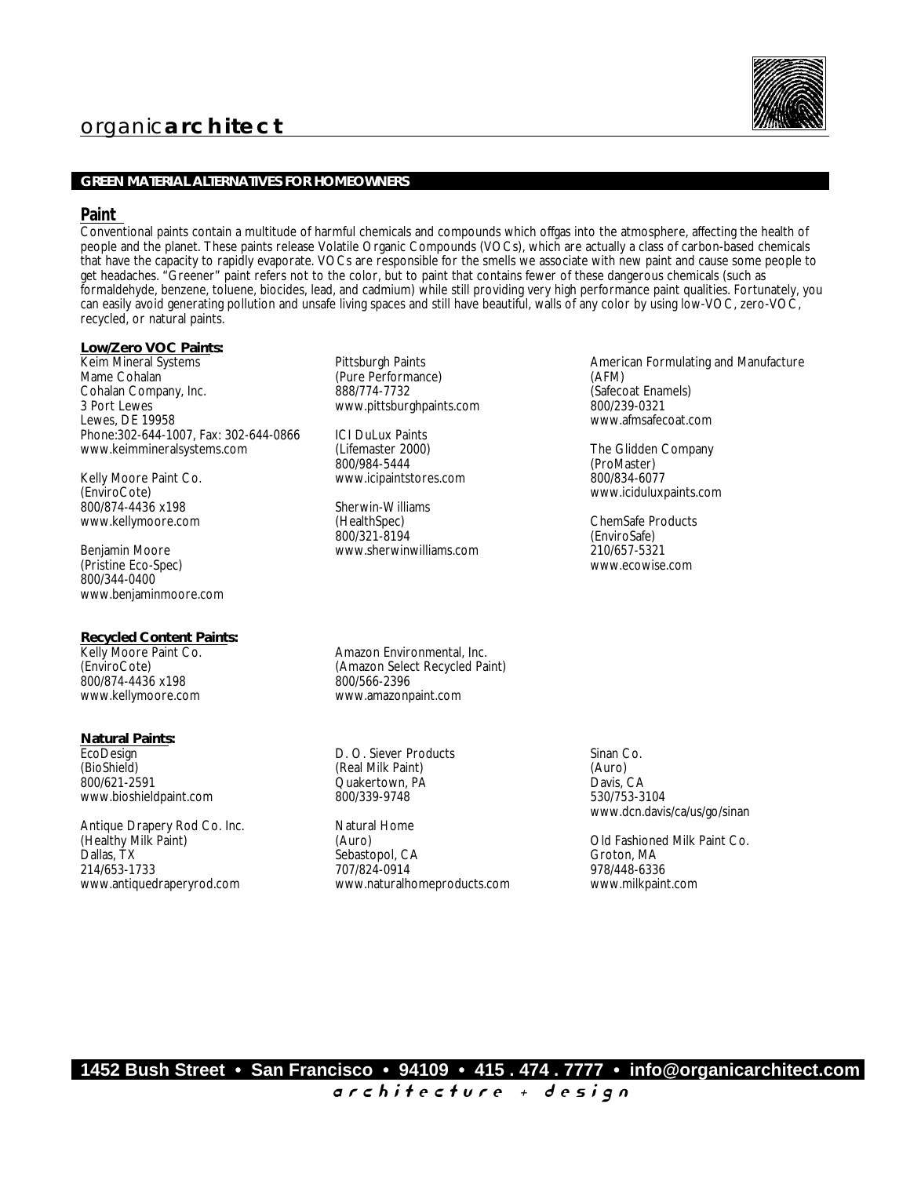

### **GREEN MATERIAL ALTERNATIVES FOR HOMEOWNERS**

#### **Paint**

Conventional paints contain a multitude of harmful chemicals and compounds which offgas into the atmosphere, affecting the health of people and the planet. These paints release Volatile Organic Compounds (VOCs), which are actually a class of carbon-based chemicals that have the capacity to rapidly evaporate. VOCs are responsible for the smells we associate with new paint and cause some people to get headaches. "Greener" paint refers not to the color, but to paint that contains fewer of these dangerous chemicals (such as formaldehyde, benzene, toluene, biocides, lead, and cadmium) while still providing very high performance paint qualities. Fortunately, you can easily avoid generating pollution and unsafe living spaces and still have beautiful, walls of any color by using low-VOC, zero-VOC, recycled, or natural paints.

*Low/Zero VOC Paints:*

Keim Mineral Systems Mame Cohalan Cohalan Company, Inc. 3 Port Lewes Lewes, DE 19958 Phone:302-644-1007, Fax: 302-644-0866 www.keimmineralsystems.com

Kelly Moore Paint Co. (EnviroCote) 800/874-4436 x198 www.kellymoore.com

Benjamin Moore (Pristine Eco-Spec) 800/344-0400 www.benjaminmoore.com

*Recycled Content Paints:* Kelly Moore Paint Co. (EnviroCote) 800/874-4436 x198 www.kellymoore.com

*Natural Paints:* EcoDesign (BioShield) 800/621-2591 www.bioshieldpaint.com

Antique Drapery Rod Co. Inc. (Healthy Milk Paint) Dallas, TX 214/653-1733 www.antiquedraperyrod.com

Pittsburgh Paints (Pure Performance) 888/774-7732 www.pittsburghpaints.com

ICI DuLux Paints (Lifemaster 2000) 800/984-5444 www.icipaintstores.com

Sherwin-Williams (HealthSpec) 800/321-8194 www.sherwinwilliams.com

Amazon Environmental, Inc. (Amazon Select Recycled Paint) 800/566-2396 www.amazonpaint.com

D. O. Siever Products (Real Milk Paint) Quakertown, PA 800/339-9748

Natural Home (Auro) Sebastopol, CA 707/824-0914 www.naturalhomeproducts.com American Formulating and Manufacture (AFM) (Safecoat Enamels) 800/239-0321 www.afmsafecoat.com

The Glidden Company (ProMaster) 800/834-6077 www.iciduluxpaints.com

ChemSafe Products (EnviroSafe) 210/657-5321 www.ecowise.com

Sinan Co. (Auro) Davis, CA 530/753-3104 www.dcn.davis/ca/us/go/sinan

Old Fashioned Milk Paint Co. Groton, MA 978/448-6336 www.milkpaint.com

**1452 Bush Street • San Francisco • 94109 • 415 . 474 . 7777 • info@organicarchitect.com** a r c h i t e c t u r e + d e s i g n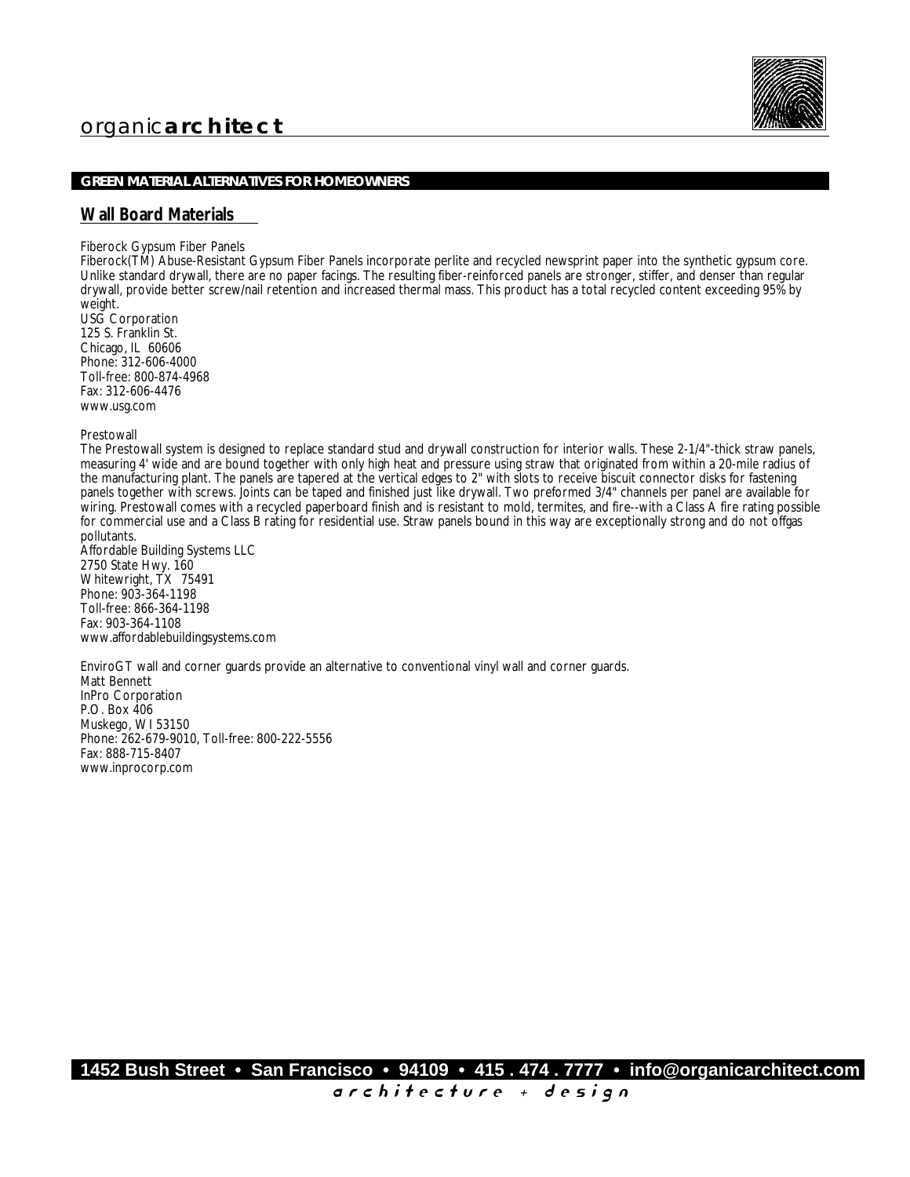

### **GREEN MATERIAL ALTERNATIVES FOR HOMEOWNERS**

## **Wall Board Materials**

Fiberock Gypsum Fiber Panels

Fiberock(TM) Abuse-Resistant Gypsum Fiber Panels incorporate perlite and recycled newsprint paper into the synthetic gypsum core. Unlike standard drywall, there are no paper facings. The resulting fiber-reinforced panels are stronger, stiffer, and denser than regular drywall, provide better screw/nail retention and increased thermal mass. This product has a total recycled content exceeding 95% by weight.

USG Corporation 125 S. Franklin St. Chicago, IL 60606 Phone: 312-606-4000 Toll-free: 800-874-4968 Fax: 312-606-4476 www.usg.com

Prestowall

The Prestowall system is designed to replace standard stud and drywall construction for interior walls. These 2-1/4"-thick straw panels, measuring 4' wide and are bound together with only high heat and pressure using straw that originated from within a 20-mile radius of the manufacturing plant. The panels are tapered at the vertical edges to 2" with slots to receive biscuit connector disks for fastening panels together with screws. Joints can be taped and finished just like drywall. Two preformed 3/4" channels per panel are available for wiring. Prestowall comes with a recycled paperboard finish and is resistant to mold, termites, and fire--with a Class A fire rating possible for commercial use and a Class B rating for residential use. Straw panels bound in this way are exceptionally strong and do not offgas pollutants.

Affordable Building Systems LLC 2750 State Hwy. 160 Whitewright, TX 75491 Phone: 903-364-1198 Toll-free: 866-364-1198 Fax: 903-364-1108 www.affordablebuildingsystems.com

EnviroGT wall and corner guards provide an alternative to conventional vinyl wall and corner guards. Matt Bennett InPro Corporation P.O. Box 406 Muskego, WI 53150 Phone: 262-679-9010, Toll-free: 800-222-5556 Fax: 888-715-8407 www.inprocorp.com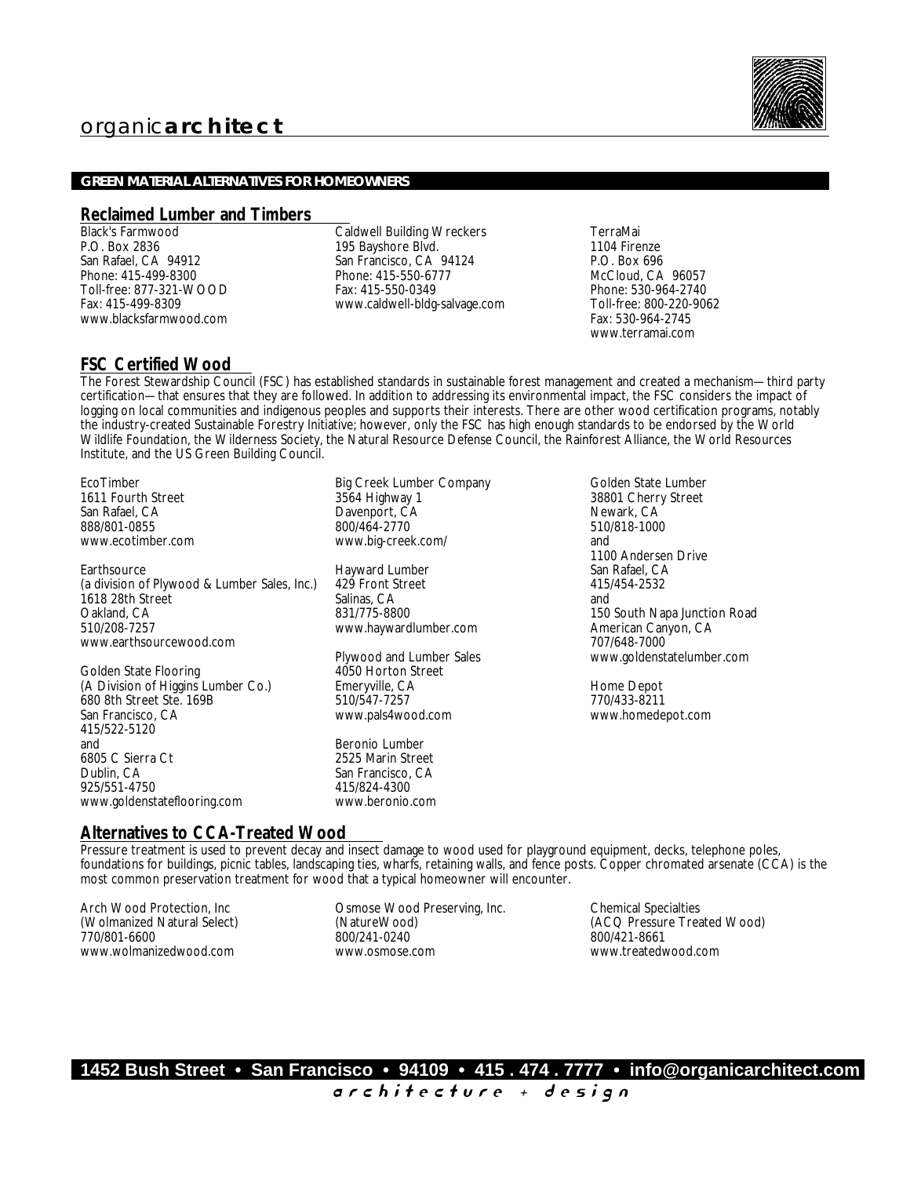

### **GREEN MATERIAL ALTERNATIVES FOR HOMEOWNERS**

#### **Reclaimed Lumber and Timbers**

Black's Farmwood P.O. Box 2836 San Rafael, CA 94912 Phone: 415-499-8300 Toll-free: 877-321-WOOD Fax: 415-499-8309 www.blacksfarmwood.com

Caldwell Building Wreckers 195 Bayshore Blvd. San Francisco, CA 94124 Phone: 415-550-6777 Fax: 415-550-0349 www.caldwell-bldg-salvage.com

TerraMai 1104 Firenze P.O. Box 696 McCloud, CA 96057 Phone: 530-964-2740 Toll-free: 800-220-9062 Fax: 530-964-2745 www.terramai.com

## **FSC Certified Wood**

The Forest Stewardship Council (FSC) has established standards in sustainable forest management and created a mechanism—third party certification—that ensures that they are followed. In addition to addressing its environmental impact, the FSC considers the impact of logging on local communities and indigenous peoples and supports their interests. There are other wood certification programs, notably the industry-created Sustainable Forestry Initiative; however, only the FSC has high enough standards to be endorsed by the World Wildlife Foundation, the Wilderness Society, the Natural Resource Defense Council, the Rainforest Alliance, the World Resources Institute, and the US Green Building Council.

EcoTimber 1611 Fourth Street San Rafael, CA 888/801-0855 www.ecotimber.com

**Earthsource** (a division of Plywood & Lumber Sales, Inc.) 1618 28th Street Oakland, CA 510/208-7257 www.earthsourcewood.com

Golden State Flooring (A Division of Higgins Lumber Co.) 680 8th Street Ste. 169B San Francisco, CA 415/522-5120 and 6805 C Sierra Ct Dublin, CA 925/551-4750 www.goldenstateflooring.com

Big Creek Lumber Company 3564 Highway 1 Davenport, CA 800/464-2770 www.big-creek.com/

Hayward Lumber 429 Front Street Salinas, CA 831/775-8800 www.haywardlumber.com

Plywood and Lumber Sales 4050 Horton Street Emeryville, CA 510/547-7257 www.pals4wood.com

Beronio Lumber 2525 Marin Street San Francisco, CA 415/824-4300 www.beronio.com

Golden State Lumber 38801 Cherry Street Newark, CA 510/818-1000 and 1100 Andersen Drive San Rafael, CA 415/454-2532 and 150 South Napa Junction Road American Canyon, CA 707/648-7000 www.goldenstatelumber.com

Home Depot 770/433-8211 www.homedepot.com

## **Alternatives to CCA-Treated Wood**

Pressure treatment is used to prevent decay and insect damage to wood used for playground equipment, decks, telephone poles, foundations for buildings, picnic tables, landscaping ties, wharfs, retaining walls, and fence posts. Copper chromated arsenate (CCA) is the most common preservation treatment for wood that a typical homeowner will encounter.

Arch Wood Protection, Inc (Wolmanized Natural Select) 770/801-6600 www.wolmanizedwood.com

Osmose Wood Preserving, Inc. (NatureWood) 800/241-0240 www.osmose.com

Chemical Specialties (ACQ Pressure Treated Wood) 800/421-8661 www.treatedwood.com

**1452 Bush Street • San Francisco • 94109 • 415 . 474 . 7777 • info@organicarchitect.com** a r c h i t e c t u r e + d e s i g n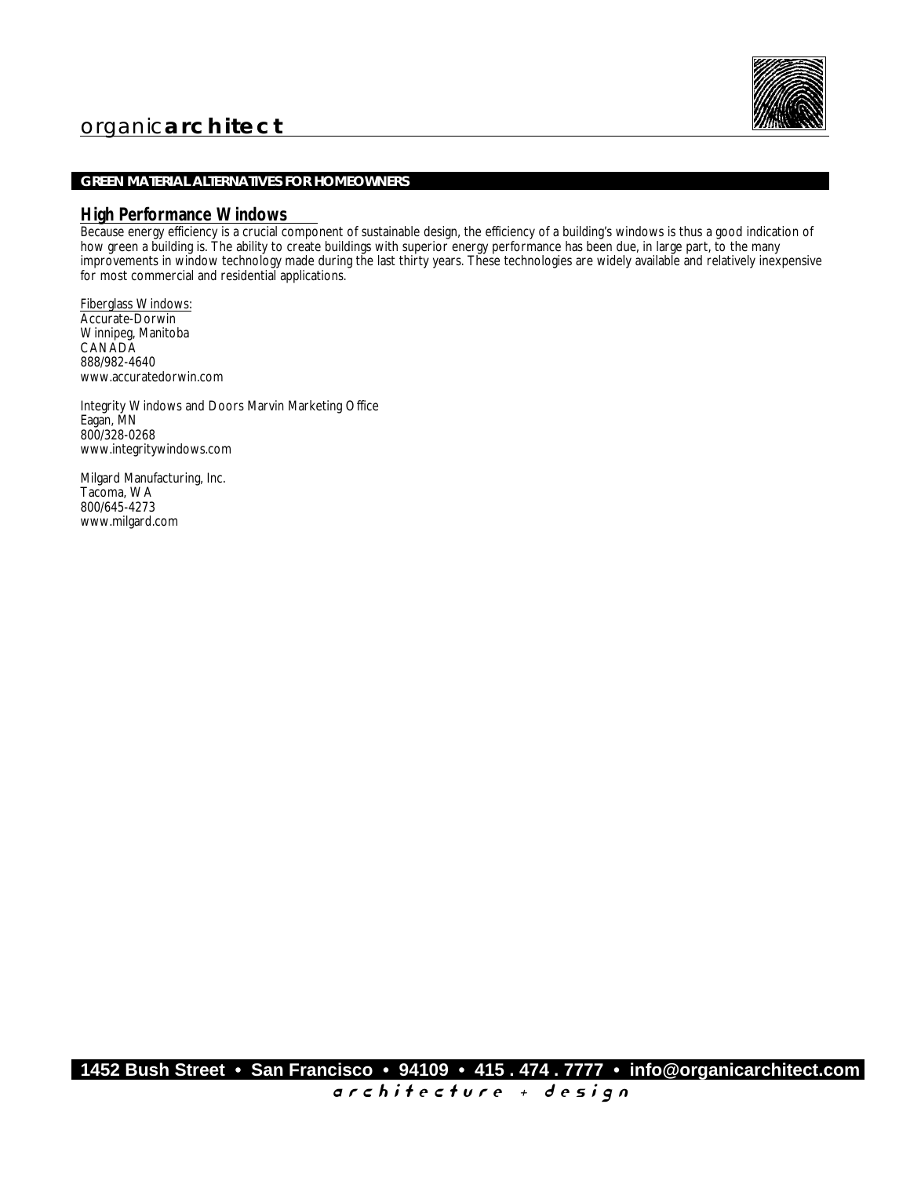

## **GREEN MATERIAL ALTERNATIVES FOR HOMEOWNERS**

### **High Performance Windows**

Because energy efficiency is a crucial component of sustainable design, the efficiency of a building's windows is thus a good indication of how green a building is. The ability to create buildings with superior energy performance has been due, in large part, to the many improvements in window technology made during the last thirty years. These technologies are widely available and relatively inexpensive for most commercial and residential applications.

Fiberglass Windows: Accurate-Dorwin Winnipeg, Manitoba **CANADA** 888/982-4640 www.accuratedorwin.com

Integrity Windows and Doors Marvin Marketing Office Eagan, MN 800/328-0268 www.integritywindows.com

Milgard Manufacturing, Inc. Tacoma, WA 800/645-4273 www.milgard.com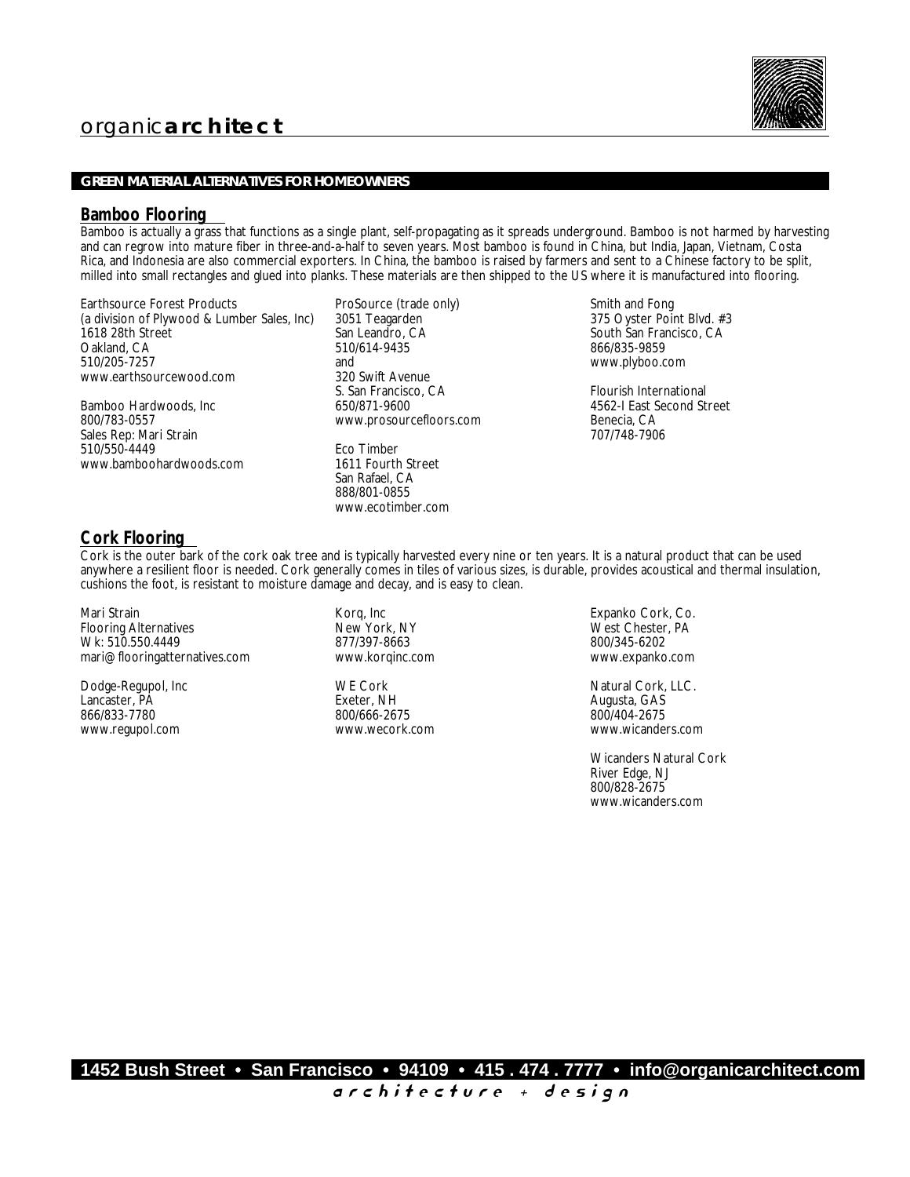## **GREEN MATERIAL ALTERNATIVES FOR HOMEOWNERS**

## **Bamboo Flooring**

Bamboo is actually a grass that functions as a single plant, self-propagating as it spreads underground. Bamboo is not harmed by harvesting and can regrow into mature fiber in three-and-a-half to seven years. Most bamboo is found in China, but India, Japan, Vietnam, Costa Rica, and Indonesia are also commercial exporters. In China, the bamboo is raised by farmers and sent to a Chinese factory to be split, milled into small rectangles and glued into planks. These materials are then shipped to the US where it is manufactured into flooring.

Earthsource Forest Products (a division of Plywood & Lumber Sales, Inc) 1618 28th Street Oakland, CA 510/205-7257 www.earthsourcewood.com

Bamboo Hardwoods, Inc 800/783-0557 Sales Rep: Mari Strain 510/550-4449 www.bamboohardwoods.com

ProSource (trade only) 3051 Teagarden San Leandro, CA 510/614-9435 and 320 Swift Avenue S. San Francisco, CA 650/871-9600 www.prosourcefloors.com

Eco Timber 1611 Fourth Street San Rafael, CA 888/801-0855 www.ecotimber.com

Smith and Fong 375 Oyster Point Blvd. #3 South San Francisco, CA 866/835-9859 www.plyboo.com

Flourish International 4562-I East Second Street Benecia, CA 707/748-7906

## **Cork Flooring**

Cork is the outer bark of the cork oak tree and is typically harvested every nine or ten years. It is a natural product that can be used anywhere a resilient floor is needed. Cork generally comes in tiles of various sizes, is durable, provides acoustical and thermal insulation, cushions the foot, is resistant to moisture damage and decay, and is easy to clean.

Mari Strain Flooring Alternatives Wk: 510.550.4449 mari@flooringatternatives.com

Dodge-Regupol, Inc Lancaster, PA 866/833-7780 www.regupol.com

Korq, Inc New York, NY 877/397-8663 www.korqinc.com

WE Cork Exeter, NH 800/666-2675 www.wecork.com

Expanko Cork, Co. West Chester, PA 800/345-6202 www.expanko.com

Natural Cork, LLC. Augusta, GAS 800/404-2675 www.wicanders.com

Wicanders Natural Cork River Edge, NJ 800/828-2675 www.wicanders.com

**1452 Bush Street • San Francisco • 94109 • 415 . 474 . 7777 • info@organicarchitect.com**

a r c h i t e c t u r e + d e s i g n